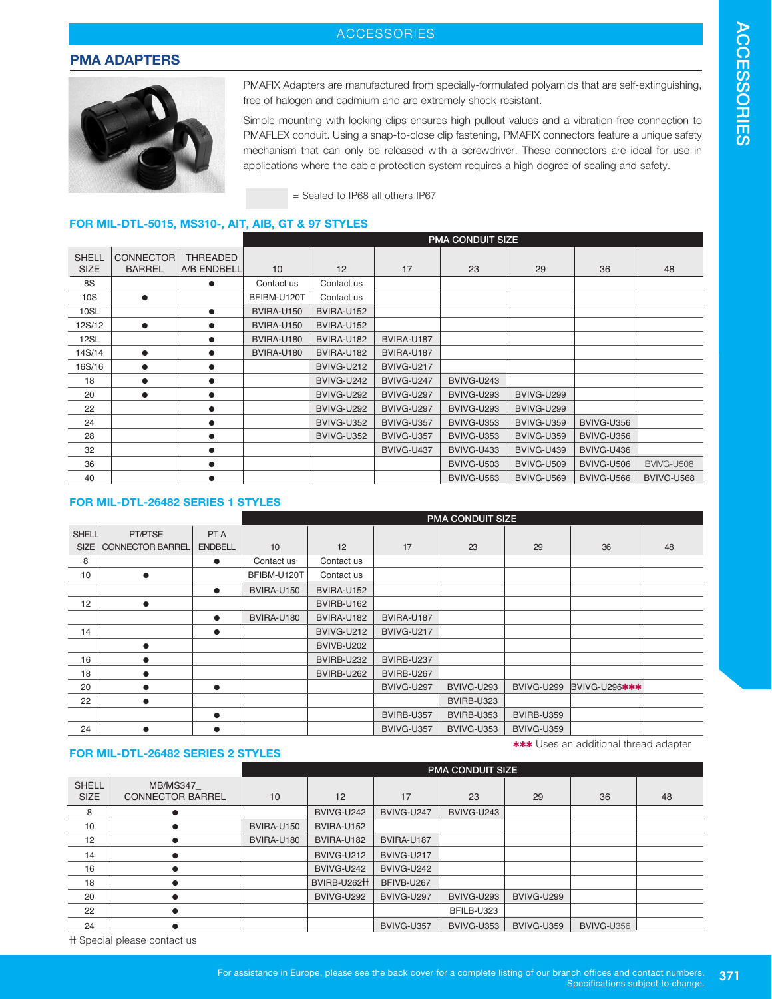## ACCESSORIES

### **PMA ADAPTERS**



PMAFIX Adapters are manufactured from specially-formulated polyamids that are self-extinguishing, free of halogen and cadmium and are extremely shock-resistant.

Simple mounting with locking clips ensures high pullout values and a vibration-free connection to PMAFLEX conduit. Using a snap-to-close clip fastening, PMAFIX connectors feature a unique safety mechanism that can only be released with a screwdriver. These connectors are ideal for use in applications where the cable protection system requires a high degree of sealing and safety.

= Sealed to IP68 all others IP67

### **FOR MIL-DTL-5015, MS310-, AIT, AIB, GT & 97 STYLES**

|                             |                                   |                                | <b>PMA CONDUIT SIZE</b> |            |            |                   |                   |            |            |
|-----------------------------|-----------------------------------|--------------------------------|-------------------------|------------|------------|-------------------|-------------------|------------|------------|
| <b>SHELL</b><br><b>SIZE</b> | <b>CONNECTOR</b><br><b>BARREL</b> | <b>THREADED</b><br>A/B ENDBELL | 10                      | 12         | 17         | 23                | 29                | 36         | 48         |
| 8S                          |                                   | $\bullet$                      | Contact us              | Contact us |            |                   |                   |            |            |
| 10S                         | $\bullet$                         |                                | BFIBM-U120T             | Contact us |            |                   |                   |            |            |
| 10SL                        |                                   | $\bullet$                      | <b>BVIRA-U150</b>       | BVIRA-U152 |            |                   |                   |            |            |
| 12S/12                      | $\bullet$                         | $\bullet$                      | BVIRA-U150              | BVIRA-U152 |            |                   |                   |            |            |
| 12SL                        |                                   | $\bullet$                      | BVIRA-U180              | BVIRA-U182 | BVIRA-U187 |                   |                   |            |            |
| 14S/14                      | $\bullet$                         | $\bullet$                      | BVIRA-U180              | BVIRA-U182 | BVIRA-U187 |                   |                   |            |            |
| 16S/16                      | $\bullet$                         | $\bullet$                      |                         | BVIVG-U212 | BVIVG-U217 |                   |                   |            |            |
| 18                          | $\bullet$                         | $\bullet$                      |                         | BVIVG-U242 | BVIVG-U247 | BVIVG-U243        |                   |            |            |
| 20                          | $\bullet$                         | $\bullet$                      |                         | BVIVG-U292 | BVIVG-U297 | BVIVG-U293        | BVIVG-U299        |            |            |
| 22                          |                                   | $\bullet$                      |                         | BVIVG-U292 | BVIVG-U297 | BVIVG-U293        | BVIVG-U299        |            |            |
| 24                          |                                   | $\bullet$                      |                         | BVIVG-U352 | BVIVG-U357 | BVIVG-U353        | BVIVG-U359        | BVIVG-U356 |            |
| 28                          |                                   | $\bullet$                      |                         | BVIVG-U352 | BVIVG-U357 | BVIVG-U353        | BVIVG-U359        | BVIVG-U356 |            |
| 32                          |                                   | $\bullet$                      |                         |            | BVIVG-U437 | BVIVG-U433        | BVIVG-U439        | BVIVG-U436 |            |
| 36                          |                                   | $\bullet$                      |                         |            |            | <b>BVIVG-U503</b> | <b>BVIVG-U509</b> | BVIVG-U506 | BVIVG-U508 |
| 40                          |                                   |                                |                         |            |            | <b>BVIVG-U563</b> | BVIVG-U569        | BVIVG-U566 | BVIVG-U568 |

#### **FOR MIL-DTL-26482 SERIES 1 STYLES**

|              |                         |                | <b>PMA CONDUIT SIZE</b> |            |            |            |                   |               |    |
|--------------|-------------------------|----------------|-------------------------|------------|------------|------------|-------------------|---------------|----|
| <b>SHELL</b> | PT/PTSE                 | PT A           |                         |            |            |            |                   |               |    |
| <b>SIZE</b>  | <b>CONNECTOR BARREL</b> | <b>ENDBELL</b> | 10                      | 12         | 17         | 23         | 29                | 36            | 48 |
| 8            |                         | $\bullet$      | Contact us              | Contact us |            |            |                   |               |    |
| 10           | $\bullet$               |                | BFIBM-U120T             | Contact us |            |            |                   |               |    |
|              |                         | $\bullet$      | BVIRA-U150              | BVIRA-U152 |            |            |                   |               |    |
| 12           | $\bullet$               |                |                         | BVIRB-U162 |            |            |                   |               |    |
|              |                         | $\bullet$      | BVIRA-U180              | BVIRA-U182 | BVIRA-U187 |            |                   |               |    |
| 14           |                         | $\bullet$      |                         | BVIVG-U212 | BVIVG-U217 |            |                   |               |    |
|              | $\bullet$               |                |                         | BVIVB-U202 |            |            |                   |               |    |
| 16           | $\bullet$               |                |                         | BVIRB-U232 | BVIRB-U237 |            |                   |               |    |
| 18           | $\bullet$               |                |                         | BVIRB-U262 | BVIRB-U267 |            |                   |               |    |
| 20           |                         | $\bullet$      |                         |            | BVIVG-U297 | BVIVG-U293 | BVIVG-U299        | BVIVG-U296*** |    |
| 22           |                         |                |                         |            |            | BVIRB-U323 |                   |               |    |
|              |                         | $\bullet$      |                         |            | BVIRB-U357 | BVIRB-U353 | <b>BVIRB-U359</b> |               |    |
| 24           | $\bullet$               | $\bullet$      |                         |            | BVIVG-U357 | BVIVG-U353 | BVIVG-U359        |               |    |

#### **FOR MIL-DTL-26482 SERIES 2 STYLES**

**\*\*\*** Uses an additional thread adapter

|                             |                                            | <b>PMA CONDUIT SIZE</b> |                         |            |            |            |            |    |  |
|-----------------------------|--------------------------------------------|-------------------------|-------------------------|------------|------------|------------|------------|----|--|
| <b>SHELL</b><br><b>SIZE</b> | <b>MB/MS347</b><br><b>CONNECTOR BARREL</b> | 10                      | 12                      | 17         | 23         | 29         | 36         | 48 |  |
| 8                           |                                            |                         | BVIVG-U242              | BVIVG-U247 | BVIVG-U243 |            |            |    |  |
| 10                          |                                            | BVIRA-U150              | BVIRA-U152              |            |            |            |            |    |  |
| 12                          |                                            | BVIRA-U180              | BVIRA-U182              | BVIRA-U187 |            |            |            |    |  |
| 14                          | $\bullet$                                  |                         | BVIVG-U212              | BVIVG-U217 |            |            |            |    |  |
| 16                          | $\bullet$                                  |                         | BVIVG-U242              | BVIVG-U242 |            |            |            |    |  |
| 18                          | $\bullet$                                  |                         | BVIRB-U262 <sup>H</sup> | BFIVB-U267 |            |            |            |    |  |
| 20                          | $\bullet$                                  |                         | BVIVG-U292              | BVIVG-U297 | BVIVG-U293 | BVIVG-U299 |            |    |  |
| 22                          | $\bullet$                                  |                         |                         |            | BFILB-U323 |            |            |    |  |
| 24                          | $\bullet$                                  |                         |                         | BVIVG-U357 | BVIVG-U353 | BVIVG-U359 | BVIVG-U356 |    |  |
|                             |                                            |                         |                         |            |            |            |            |    |  |

ܴܴ Special please contact us